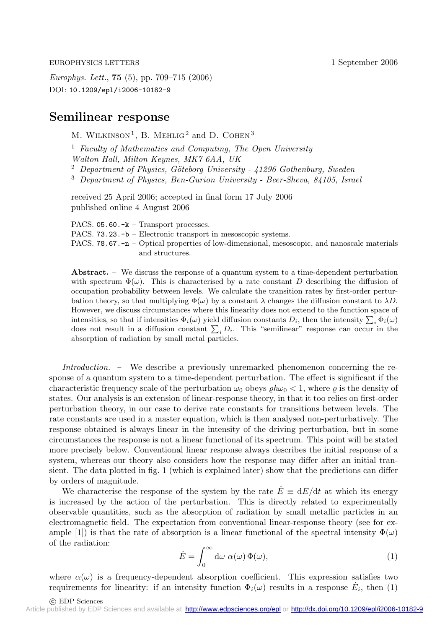EUROPHYSICS LETTERS 1 September 2006

*Europhys. Lett.*, **75** (5), pp. 709–715 (2006) DOI: 10.1209/epl/i2006-10182-9

# **Semilinear response**

M. WILKINSON<sup>1</sup>, B. MEHLIG<sup>2</sup> and D. COHEN<sup>3</sup>

<sup>1</sup> *Faculty of Mathematics and Computing, The Open University Walton Hall, Milton Keynes, MK7 6AA, UK* <sup>2</sup> *Department of Physics, Göteborg University - 41296 Gothenburg, Sweden* <sup>3</sup> *Department of Physics, Ben-Gurion University - Beer-Sheva, 84105, Israel*

received 25 April 2006; accepted in final form 17 July 2006 published online 4 August 2006

PACS. 05.60.-k – Transport processes. PACS. 73.23.-b – Electronic transport in mesoscopic systems. PACS. 78.67.-n – Optical properties of low-dimensional, mesoscopic, and nanoscale materials and structures.

**Abstract.** – We discuss the response of a quantum system to a time-dependent perturbation with spectrum  $\Phi(\omega)$ . This is characterised by a rate constant D describing the diffusion of occupation probability between levels. We calculate the transition rates by first-order perturbation theory, so that multiplying  $\Phi(\omega)$  by a constant  $\lambda$  changes the diffusion constant to  $\lambda D$ . However, we discuss circumstances where this linearity does not extend to the function space of intensities, so that if intensities  $\Phi_i(\omega)$  yield diffusion constants  $D_i$ , then the intensity  $\sum_i \Phi_i(\omega)$ does not result in a diffusion constant  $\sum_i D_i$ . This "semilinear" response can occur in the absorption of radiation by small metal particles.

*Introduction. –* We describe a previously unremarked phenomenon concerning the response of a quantum system to a time-dependent perturbation. The effect is significant if the characteristic frequency scale of the perturbation  $\omega_0$  obeys  $\rho \hbar \omega_0 < 1$ , where  $\rho$  is the density of states. Our analysis is an extension of linear-response theory, in that it too relies on first-order perturbation theory, in our case to derive rate constants for transitions between levels. The rate constants are used in a master equation, which is then analysed non-perturbatively. The response obtained is always linear in the intensity of the driving perturbation, but in some circumstances the response is not a linear functional of its spectrum. This point will be stated more precisely below. Conventional linear response always describes the initial response of a system, whereas our theory also considers how the response may differ after an initial transient. The data plotted in fig. 1 (which is explained later) show that the predictions can differ by orders of magnitude.

We characterise the response of the system by the rate  $\dot{E} \equiv dE/dt$  at which its energy is increased by the action of the perturbation. This is directly related to experimentally observable quantities, such as the absorption of radiation by small metallic particles in an electromagnetic field. The expectation from conventional linear-response theory (see for example [1]) is that the rate of absorption is a linear functional of the spectral intensity  $\Phi(\omega)$ of the radiation:

$$
\dot{E} = \int_0^\infty d\omega \; \alpha(\omega) \, \Phi(\omega), \tag{1}
$$

where  $\alpha(\omega)$  is a frequency-dependent absorption coefficient. This expression satisfies two requirements for linearity: if an intensity function  $\Phi_i(\omega)$  results in a response  $\dot{E}_i$ , then (1)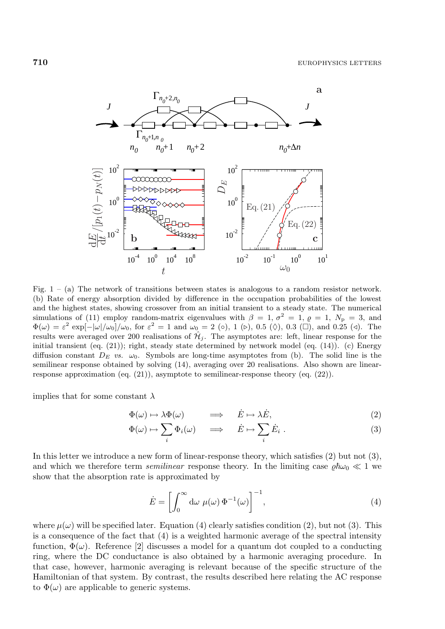

Fig.  $1 - (a)$  The network of transitions between states is analogous to a random resistor network. (b) Rate of energy absorption divided by difference in the occupation probabilities of the lowest and the highest states, showing crossover from an initial transient to a steady state. The numerical simulations of (11) employ random-matrix eigenvalues with  $\beta = 1, \sigma^2 = 1, \rho = 1, N_{\rm p} = 3$ , and  $\Phi(\omega) = \varepsilon^2 \exp[-|\omega|/\omega_0]/\omega_0$ , for  $\varepsilon^2 = 1$  and  $\omega_0 = 2$  ( $\circ$ ), 1 ( $\triangleright$ ), 0.5 ( $\lozenge$ ), 0.3 ( $\square$ ), and 0.25 ( $\triangleleft$ ). The results were averaged over 200 realisations of  $\mathcal{H}_j$ . The asymptotes are: left, linear response for the initial transient (eq. (21)); right, steady state determined by network model (eq. (14)). (c) Energy diffusion constant  $D_E$  *vs.*  $\omega_0$ . Symbols are long-time asymptotes from (b). The solid line is the semilinear response obtained by solving (14), averaging over 20 realisations. Also shown are linearresponse approximation (eq. (21)), asymptote to semilinear-response theory (eq. (22)).

implies that for some constant  $\lambda$ 

$$
\Phi(\omega) \mapsto \lambda \Phi(\omega) \qquad \implies \quad \dot{E} \mapsto \lambda \dot{E}, \tag{2}
$$

$$
\Phi(\omega) \mapsto \sum_{i} \Phi_{i}(\omega) \quad \implies \quad \dot{E} \mapsto \sum_{i} \dot{E}_{i} . \tag{3}
$$

In this letter we introduce a new form of linear-response theory, which satisfies (2) but not (3), and which we therefore term *semilinear* response theory. In the limiting case  $\varrho \hbar \omega_0 \ll 1$  we show that the absorption rate is approximated by

$$
\dot{E} = \left[ \int_0^\infty d\omega \ \mu(\omega) \ \Phi^{-1}(\omega) \right]^{-1}, \tag{4}
$$

where  $\mu(\omega)$  will be specified later. Equation (4) clearly satisfies condition (2), but not (3). This is a consequence of the fact that (4) is a weighted harmonic average of the spectral intensity function,  $\Phi(\omega)$ . Reference [2] discusses a model for a quantum dot coupled to a conducting ring, where the DC conductance is also obtained by a harmonic averaging procedure. In that case, however, harmonic averaging is relevant because of the specific structure of the Hamiltonian of that system. By contrast, the results described here relating the AC response to  $\Phi(\omega)$  are applicable to generic systems.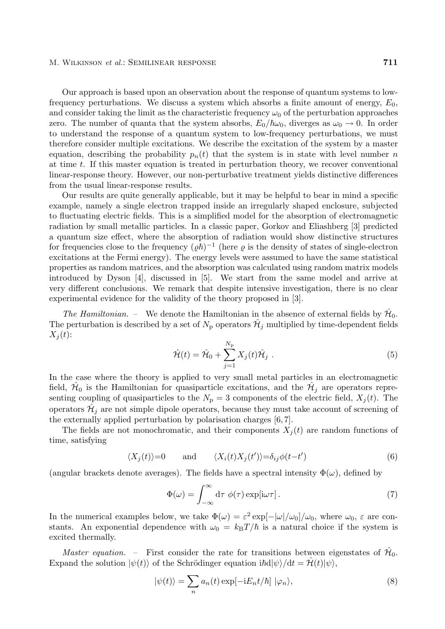### M. Wilkinson *et al.*: Semilinear response **711**

Our approach is based upon an observation about the response of quantum systems to lowfrequency perturbations. We discuss a system which absorbs a finite amount of energy,  $E_0$ , and consider taking the limit as the characteristic frequency  $\omega_0$  of the perturbation approaches zero. The number of quanta that the system absorbs,  $E_0/\hbar\omega_0$ , diverges as  $\omega_0 \to 0$ . In order to understand the response of a quantum system to low-frequency perturbations, we must therefore consider multiple excitations. We describe the excitation of the system by a master equation, describing the probability  $p_n(t)$  that the system is in state with level number n at time  $t$ . If this master equation is treated in perturbation theory, we recover conventional linear-response theory. However, our non-perturbative treatment yields distinctive differences from the usual linear-response results.

Our results are quite generally applicable, but it may be helpful to bear in mind a specific example, namely a single electron trapped inside an irregularly shaped enclosure, subjected to fluctuating electric fields. This is a simplified model for the absorption of electromagnetic radiation by small metallic particles. In a classic paper, Gorkov and Eliashberg [3] predicted a quantum size effect, where the absorption of radiation would show distinctive structures for frequencies close to the frequency  $(\varrho \hbar)^{-1}$  (here  $\varrho$  is the density of states of single-electron excitations at the Fermi energy). The energy levels were assumed to have the same statistical properties as random matrices, and the absorption was calculated using random matrix models introduced by Dyson [4], discussed in [5]. We start from the same model and arrive at very different conclusions. We remark that despite intensive investigation, there is no clear experimental evidence for the validity of the theory proposed in [3].

*The Hamiltonian.* – We denote the Hamiltonian in the absence of external fields by  $\mathcal{H}_0$ . The perturbation is described by a set of  $N_{\rm p}$  operators  $\mathcal{H}_j$  multiplied by time-dependent fields  $X_i(t)$ :

$$
\hat{\mathcal{H}}(t) = \hat{\mathcal{H}}_0 + \sum_{j=1}^{N_{\rm p}} X_j(t)\hat{\mathcal{H}}_j . \tag{5}
$$

In the case where the theory is applied to very small metal particles in an electromagnetic field,  $\mathcal{H}_0$  is the Hamiltonian for quasiparticle excitations, and the  $\mathcal{H}_i$  are operators representing coupling of quasiparticles to the  $N_{\rm p} = 3$  components of the electric field,  $X_i(t)$ . The operators  $\mathcal{H}_i$  are not simple dipole operators, because they must take account of screening of the externally applied perturbation by polarisation charges [6, 7].

The fields are not monochromatic, and their components  $X_j(t)$  are random functions of time, satisfying

$$
\langle X_j(t) \rangle = 0 \quad \text{and} \quad \langle X_i(t)X_j(t') \rangle = \delta_{ij}\phi(t-t')
$$
 (6)

(angular brackets denote averages). The fields have a spectral intensity  $\Phi(\omega)$ , defined by

$$
\Phi(\omega) = \int_{-\infty}^{\infty} d\tau \, \phi(\tau) \exp[i\omega \tau]. \tag{7}
$$

In the numerical examples below, we take  $\Phi(\omega) = \varepsilon^2 \exp[-|\omega|/\omega_0]/\omega_0$ , where  $\omega_0$ ,  $\varepsilon$  are constants. An exponential dependence with  $\omega_0 = k_B T/\hbar$  is a natural choice if the system is excited thermally.

*Master equation.* – First consider the rate for transitions between eigenstates of  $\hat{\mathcal{H}}_0$ . Expand the solution  $|\psi(t)\rangle$  of the Schrödinger equation  $i\hbar d|\psi\rangle/dt = \hat{\mathcal{H}}(t)|\psi\rangle$ ,

$$
|\psi(t)\rangle = \sum_{n} a_n(t) \exp[-iE_n t/\hbar] |\varphi_n\rangle, \tag{8}
$$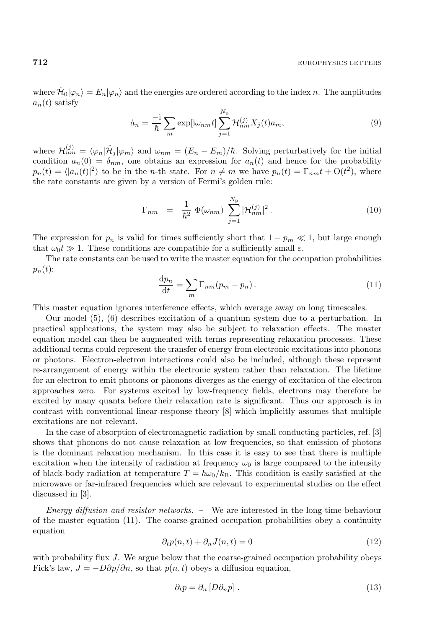where  $\hat{\mathcal{H}}_0|\varphi_n\rangle = E_n|\varphi_n\rangle$  and the energies are ordered according to the index n. The amplitudes  $a_n(t)$  satisfy

$$
\dot{a}_n = \frac{-i}{\hbar} \sum_m \exp[i\omega_{nm}t] \sum_{j=1}^{N_p} \mathcal{H}_{nm}^{(j)} X_j(t) a_m, \qquad (9)
$$

where  $\mathcal{H}_{nm}^{(j)} = \langle \varphi_n | \hat{\mathcal{H}}_j | \varphi_m \rangle$  and  $\omega_{nm} = (E_n - E_m)/\hbar$ . Solving perturbatively for the initial condition  $a_n(0) = \delta_{nm}$ , one obtains an expression for  $a_n(t)$  and hence for the probability  $p_n(t) = \langle |a_n(t)|^2 \rangle$  to be in the *n*-th state. For  $n \neq m$  we have  $p_n(t) = \Gamma_{nm} t + O(t^2)$ , where the rate constants are given by a version of Fermi's golden rule:

$$
\Gamma_{nm} = \frac{1}{\hbar^2} \Phi(\omega_{nm}) \sum_{j=1}^{N_{\rm p}} |\mathcal{H}_{nm}^{(j)}|^2.
$$
 (10)

The expression for  $p_n$  is valid for times sufficiently short that  $1 - p_m \ll 1$ , but large enough that  $\omega_0 t \gg 1$ . These conditions are compatible for a sufficiently small  $\varepsilon$ .

The rate constants can be used to write the master equation for the occupation probabilities  $p_n(t)$ :

$$
\frac{\mathrm{d}p_n}{\mathrm{d}t} = \sum_m \Gamma_{nm}(p_m - p_n). \tag{11}
$$

This master equation ignores interference effects, which average away on long timescales.

Our model (5), (6) describes excitation of a quantum system due to a perturbation. In practical applications, the system may also be subject to relaxation effects. The master equation model can then be augmented with terms representing relaxation processes. These additional terms could represent the transfer of energy from electronic excitations into phonons or photons. Electron-electron interactions could also be included, although these represent re-arrangement of energy within the electronic system rather than relaxation. The lifetime for an electron to emit photons or phonons diverges as the energy of excitation of the electron approaches zero. For systems excited by low-frequency fields, electrons may therefore be excited by many quanta before their relaxation rate is significant. Thus our approach is in contrast with conventional linear-response theory [8] which implicitly assumes that multiple excitations are not relevant.

In the case of absorption of electromagnetic radiation by small conducting particles, ref. [3] shows that phonons do not cause relaxation at low frequencies, so that emission of photons is the dominant relaxation mechanism. In this case it is easy to see that there is multiple excitation when the intensity of radiation at frequency  $\omega_0$  is large compared to the intensity of black-body radiation at temperature  $T = \hbar \omega_0 / k_B$ . This condition is easily satisfied at the microwave or far-infrared frequencies which are relevant to experimental studies on the effect discussed in [3].

*Energy diffusion and resistor networks. –* We are interested in the long-time behaviour of the master equation (11). The coarse-grained occupation probabilities obey a continuity equation

$$
\partial_t p(n,t) + \partial_n J(n,t) = 0 \tag{12}
$$

with probability flux J. We argue below that the coarse-grained occupation probability obeys Fick's law,  $J = -D\partial p/\partial n$ , so that  $p(n, t)$  obeys a diffusion equation,

$$
\partial_t p = \partial_n [D \partial_n p] \tag{13}
$$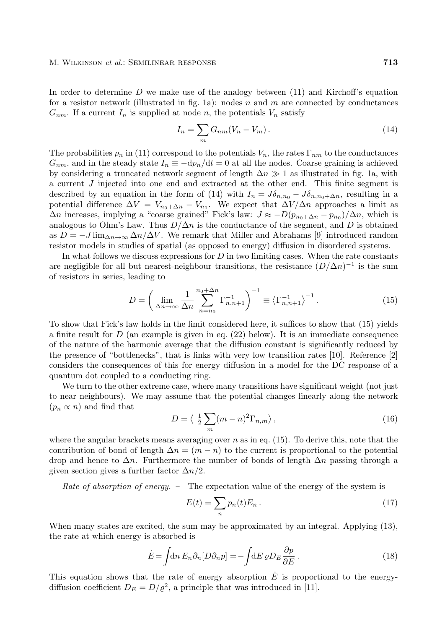### M. Wilkinson *et al.*: Semilinear response **713**

In order to determine  $D$  we make use of the analogy between  $(11)$  and Kirchoff's equation for a resistor network (illustrated in fig. 1a): nodes n and m are connected by conductances  $G_{nm}$ . If a current  $I_n$  is supplied at node n, the potentials  $V_n$  satisfy

$$
I_n = \sum_m G_{nm}(V_n - V_m). \tag{14}
$$

The probabilities  $p_n$  in (11) correspond to the potentials  $V_n$ , the rates  $\Gamma_{nm}$  to the conductances  $G_{nm}$ , and in the steady state  $I_n \equiv -dp_n/dt = 0$  at all the nodes. Coarse graining is achieved by considering a truncated network segment of length  $\Delta n \gg 1$  as illustrated in fig. 1a, with a current J injected into one end and extracted at the other end. This finite segment is described by an equation in the form of (14) with  $I_n = J\delta_{n,n_0} - J\delta_{n,n_0+\Delta n}$ , resulting in a potential difference  $\Delta V = V_{n_0+\Delta n} - V_{n_0}$ . We expect that  $\Delta V/\Delta n$  approaches a limit as  $\Delta n$  increases, implying a "coarse grained" Fick's law:  $J \approx -D(p_{n_0+\Delta n} - p_{n_0})/\Delta n$ , which is analogous to Ohm's Law. Thus  $D/\Delta n$  is the conductance of the segment, and D is obtained as  $D = -J \lim_{\Delta n \to \infty} \Delta n / \Delta V$ . We remark that Miller and Abrahams [9] introduced random resistor models in studies of spatial (as opposed to energy) diffusion in disordered systems.

In what follows we discuss expressions for  $D$  in two limiting cases. When the rate constants are negligible for all but nearest-neighbour transitions, the resistance  $(D/\Delta n)^{-1}$  is the sum of resistors in series, leading to

$$
D = \left(\lim_{\Delta n \to \infty} \frac{1}{\Delta n} \sum_{n=n_0}^{n_0 + \Delta n} \Gamma_{n,n+1}^{-1}\right)^{-1} \equiv \left\langle \Gamma_{n,n+1}^{-1} \right\rangle^{-1}.\tag{15}
$$

To show that Fick's law holds in the limit considered here, it suffices to show that (15) yields a finite result for  $D$  (an example is given in eq. (22) below). It is an immediate consequence of the nature of the harmonic average that the diffusion constant is significantly reduced by the presence of "bottlenecks", that is links with very low transition rates [10]. Reference [2] considers the consequences of this for energy diffusion in a model for the DC response of a quantum dot coupled to a conducting ring.

We turn to the other extreme case, where many transitions have significant weight (not just to near neighbours). We may assume that the potential changes linearly along the network  $(p_n \propto n)$  and find that

$$
D = \langle \frac{1}{2} \sum_{m} (m - n)^2 \Gamma_{n,m} \rangle, \qquad (16)
$$

where the angular brackets means averaging over  $n$  as in eq. (15). To derive this, note that the contribution of bond of length  $\Delta n = (m - n)$  to the current is proportional to the potential drop and hence to  $\Delta n$ . Furthermore the number of bonds of length  $\Delta n$  passing through a given section gives a further factor  $\Delta n/2$ .

*Rate of absorption of energy.* – The expectation value of the energy of the system is

$$
E(t) = \sum_{n} p_n(t) E_n \,. \tag{17}
$$

When many states are excited, the sum may be approximated by an integral. Applying (13), the rate at which energy is absorbed is

$$
\dot{E} = \int \! \mathrm{d}n \, E_n \partial_n [D \partial_n p] = - \int \! \mathrm{d}E \, \varrho D_E \frac{\partial p}{\partial E} \,. \tag{18}
$$

This equation shows that the rate of energy absorption  $\hat{E}$  is proportional to the energydiffusion coefficient  $D_E = D/\varrho^2$ , a principle that was introduced in [11].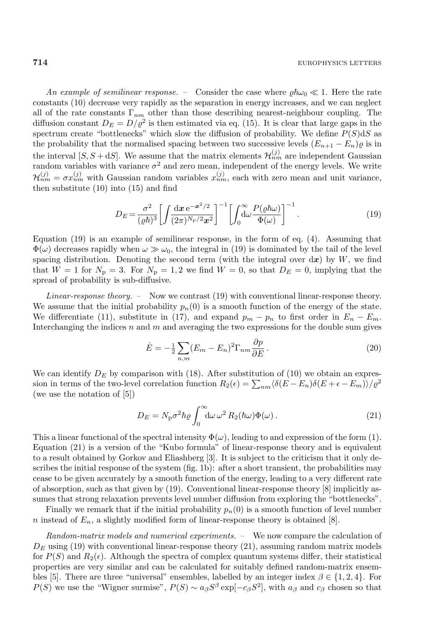*An example of semilinear response.* – Consider the case where  $\varrho \hbar \omega_0 \ll 1$ . Here the rate constants (10) decrease very rapidly as the separation in energy increases, and we can neglect all of the rate constants  $\Gamma_{nm}$  other than those describing nearest-neighbour coupling. The diffusion constant  $D_E = D/\varrho^2$  is then estimated via eq. (15). It is clear that large gaps in the spectrum create "bottlenecks" which slow the diffusion of probability. We define  $P(S)$ d $S$  as the probability that the normalised spacing between two successive levels  $(E_{n+1} - E_n)\varrho$  is in the interval  $[S, S + dS]$ . We assume that the matrix elements  $\mathcal{H}_{nm}^{(j)}$  are independent Gaussian random variables with variance  $\sigma^2$  and zero mean, independent of the energy levels. We write  $\mathcal{H}_{nm}^{(j)} = \sigma x_{nm}^{(j)}$  with Gaussian random variables  $x_{nm}^{(j)}$ , each with zero mean and unit variance, then substitute (10) into (15) and find

$$
D_E = \frac{\sigma^2}{(\varrho \hbar)^3} \left[ \int \frac{\mathrm{d}x \, \mathrm{e}^{-x^2/2}}{(2\pi)^{N_\mathrm{p}/2} x^2} \right]^{-1} \left[ \int_0^\infty \frac{P(\varrho \hbar \omega)}{\Phi(\omega)} \right]^{-1} . \tag{19}
$$

Equation (19) is an example of semilinear response, in the form of eq. (4). Assuming that  $\Phi(\omega)$  decreases rapidly when  $\omega \gg \omega_0$ , the integral in (19) is dominated by the tail of the level spacing distribution. Denoting the second term (with the integral over  $dx$ ) by W, we find that  $W = 1$  for  $N_{\rm p} = 3$ . For  $N_{\rm p} = 1, 2$  we find  $W = 0$ , so that  $D_E = 0$ , implying that the spread of probability is sub-diffusive.

*Linear-response theory. –* Now we contrast (19) with conventional linear-response theory. We assume that the initial probability  $p_n(0)$  is a smooth function of the energy of the state. We differentiate (11), substitute in (17), and expand  $p_m - p_n$  to first order in  $E_n - E_m$ . Interchanging the indices  $n$  and  $m$  and averaging the two expressions for the double sum gives

$$
\dot{E} = -\frac{1}{2} \sum_{n,m} (E_m - E_n)^2 \Gamma_{nm} \frac{\partial p}{\partial E}.
$$
\n(20)

We can identify  $D<sub>E</sub>$  by comparison with (18). After substitution of (10) we obtain an expression in terms of the two-level correlation function  $R_2(\epsilon) = \sum_{nm} \langle \delta(E - E_n) \delta(E + \epsilon - E_m) \rangle / \varrho^2$ (we use the notation of [5])

$$
D_E = N_p \sigma^2 \hbar \varrho \int_0^\infty d\omega \,\omega^2 R_2(\hbar \omega) \Phi(\omega). \tag{21}
$$

This a linear functional of the spectral intensity  $\Phi(\omega)$ , leading to and expression of the form (1). Equation (21) is a version of the "Kubo formula" of linear-response theory and is equivalent to a result obtained by Gorkov and Eliashberg [3]. It is subject to the criticism that it only describes the initial response of the system (fig. 1b): after a short transient, the probabilities may cease to be given accurately by a smooth function of the energy, leading to a very different rate of absorption, such as that given by (19). Conventional linear-response theory [8] implicitly assumes that strong relaxation prevents level number diffusion from exploring the "bottlenecks".

Finally we remark that if the initial probability  $p_n(0)$  is a smooth function of level number n instead of  $E_n$ , a slightly modified form of linear-response theory is obtained [8].

*Random-matrix models and numerical experiments. –* We now compare the calculation of  $D<sub>E</sub>$  using (19) with conventional linear-response theory (21), assuming random matrix models for  $P(S)$  and  $R_2(\epsilon)$ . Although the spectra of complex quantum systems differ, their statistical properties are very similar and can be calculated for suitably defined random-matrix ensembles [5]. There are three "universal" ensembles, labelled by an integer index  $\beta \in \{1, 2, 4\}$ . For  $P(S)$  we use the "Wigner surmise",  $P(S) \sim a_{\beta}S^{\beta} \exp[-c_{\beta}S^2]$ , with  $a_{\beta}$  and  $c_{\beta}$  chosen so that